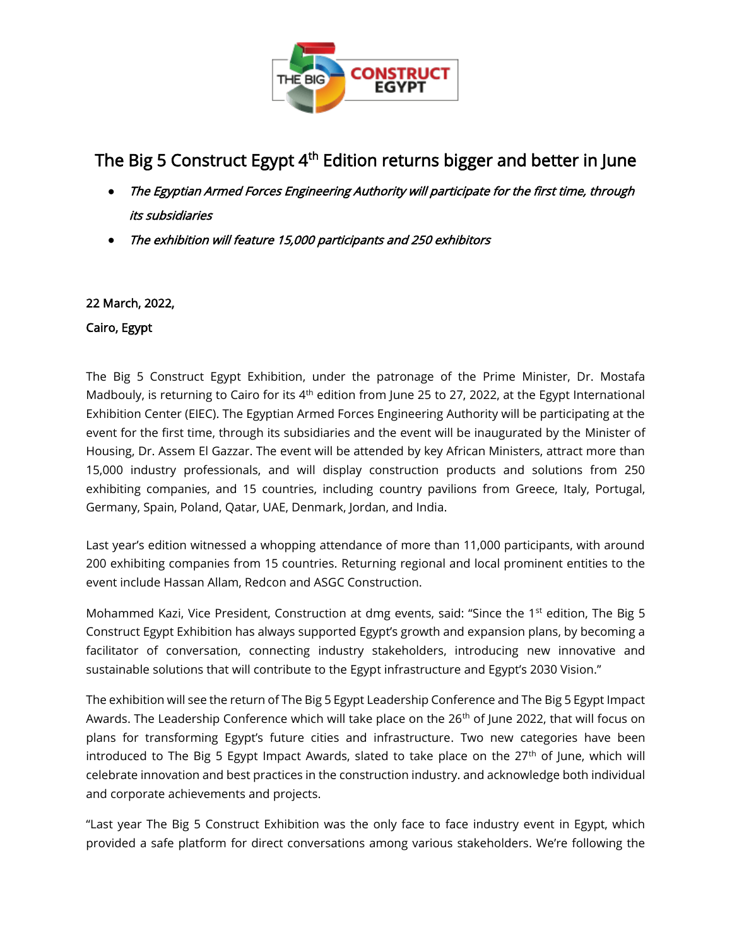

# The Big 5 Construct Egypt 4<sup>th</sup> Edition returns bigger and better in June

- The Egyptian Armed Forces Engineering Authority will participate for the first time, through its subsidiaries
- The exhibition will feature 15,000 participants and 250 exhibitors

### 22 March, 2022,

#### Cairo, Egypt

The Big 5 Construct Egypt Exhibition, under the patronage of the Prime Minister, Dr. Mostafa Madbouly, is returning to Cairo for its  $4<sup>th</sup>$  edition from June 25 to 27, 2022, at the Egypt International Exhibition Center (EIEC). The Egyptian Armed Forces Engineering Authority will be participating at the event for the first time, through its subsidiaries and the event will be inaugurated by the Minister of Housing, Dr. Assem El Gazzar. The event will be attended by key African Ministers, attract more than 15,000 industry professionals, and will display construction products and solutions from 250 exhibiting companies, and 15 countries, including country pavilions from Greece, Italy, Portugal, Germany, Spain, Poland, Qatar, UAE, Denmark, Jordan, and India.

Last year's edition witnessed a whopping attendance of more than 11,000 participants, with around 200 exhibiting companies from 15 countries. Returning regional and local prominent entities to the event include Hassan Allam, Redcon and ASGC Construction.

Mohammed Kazi, Vice President, Construction at dmg events, said: "Since the 1<sup>st</sup> edition, The Big 5 Construct Egypt Exhibition has always supported Egypt's growth and expansion plans, by becoming a facilitator of conversation, connecting industry stakeholders, introducing new innovative and sustainable solutions that will contribute to the Egypt infrastructure and Egypt's 2030 Vision."

The exhibition will see the return of The Big 5 Egypt Leadership Conference and The Big 5 Egypt Impact Awards. The Leadership Conference which will take place on the 26<sup>th</sup> of June 2022, that will focus on plans for transforming Egypt's future cities and infrastructure. Two new categories have been introduced to The Big 5 Egypt Impact Awards, slated to take place on the 27<sup>th</sup> of June, which will celebrate innovation and best practices in the construction industry. and acknowledge both individual and corporate achievements and projects.

"Last year The Big 5 Construct Exhibition was the only face to face industry event in Egypt, which provided a safe platform for direct conversations among various stakeholders. We're following the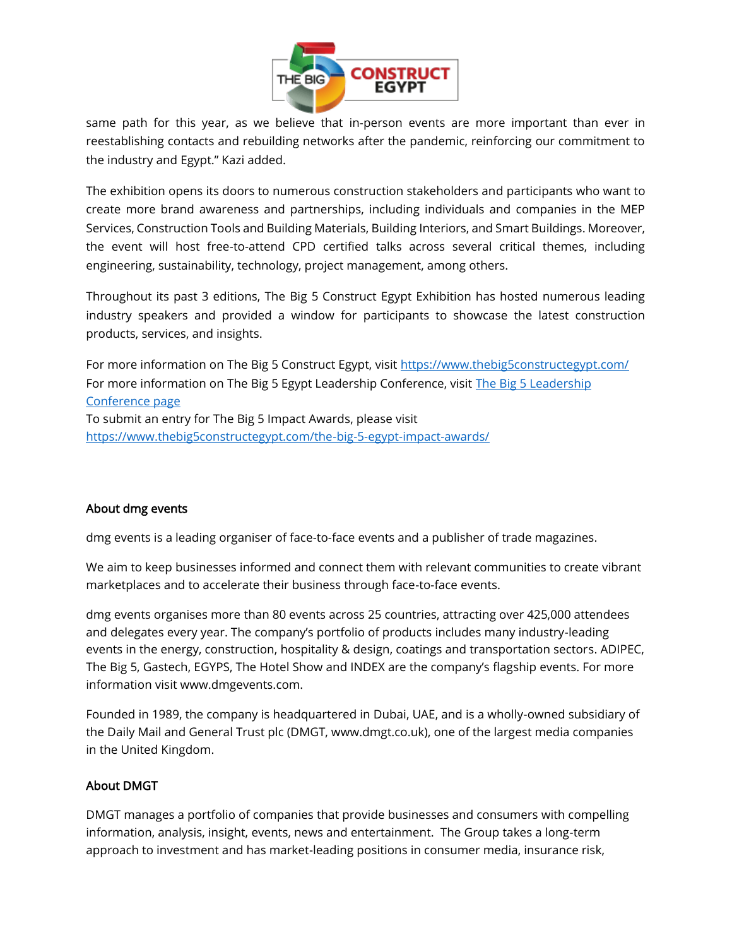

same path for this year, as we believe that in-person events are more important than ever in reestablishing contacts and rebuilding networks after the pandemic, reinforcing our commitment to the industry and Egypt." Kazi added.

The exhibition opens its doors to numerous construction stakeholders and participants who want to create more brand awareness and partnerships, including individuals and companies in the MEP Services, Construction Tools and Building Materials, Building Interiors, and Smart Buildings. Moreover, the event will host free-to-attend CPD certified talks across several critical themes, including engineering, sustainability, technology, project management, among others.

Throughout its past 3 editions, The Big 5 Construct Egypt Exhibition has hosted numerous leading industry speakers and provided a window for participants to showcase the latest construction products, services, and insights.

For more information on The Big 5 Construct Egypt, visit<https://www.thebig5constructegypt.com/> For more information on The Big 5 Egypt Leadership Conference, visit The Big 5 Leadership [Conference page](https://www.thebig5constructegypt.com/the-big-5-egypt-leadership-conference/) To submit an entry for The Big 5 Impact Awards, please visit <https://www.thebig5constructegypt.com/the-big-5-egypt-impact-awards/>

#### About dmg events

dmg events is a leading organiser of face-to-face events and a publisher of trade magazines.

We aim to keep businesses informed and connect them with relevant communities to create vibrant marketplaces and to accelerate their business through face-to-face events.

dmg events organises more than 80 events across 25 countries, attracting over 425,000 attendees and delegates every year. The company's portfolio of products includes many industry-leading events in the energy, construction, hospitality & design, coatings and transportation sectors. ADIPEC, The Big 5, Gastech, EGYPS, The Hotel Show and INDEX are the company's flagship events. For more information visit www.dmgevents.com.

Founded in 1989, the company is headquartered in Dubai, UAE, and is a wholly-owned subsidiary of the Daily Mail and General Trust plc (DMGT, www.dmgt.co.uk), one of the largest media companies in the United Kingdom.

### About DMGT

DMGT manages a portfolio of companies that provide businesses and consumers with compelling information, analysis, insight, events, news and entertainment. The Group takes a long-term approach to investment and has market-leading positions in consumer media, insurance risk,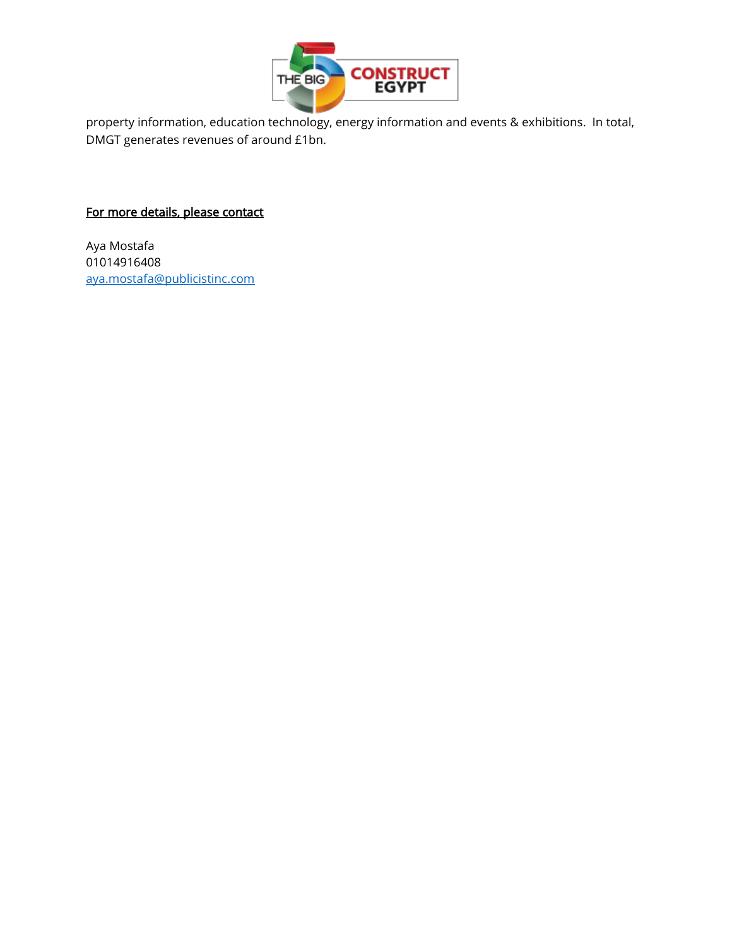

property information, education technology, energy information and events & exhibitions. In total, DMGT generates revenues of around £1bn.

## For more details, please contact

Aya Mostafa 01014916408 [aya.mostafa@publicistinc.com](mailto:aya.mostafa@publicistinc.com)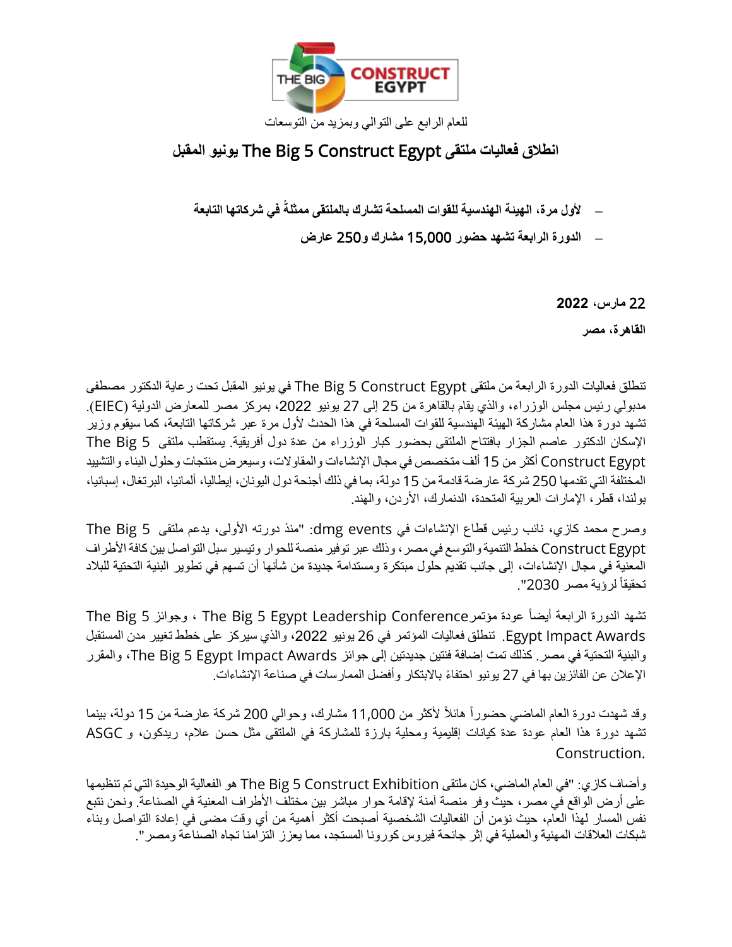

# **انطالق فعاليات ملتقى** Egypt Construct 5 Big The **يونيو المقبل**

- **– ألول مرة، الهيئة الهندسية للقوات المسلحة تشارك بالملتقى ممثلة في شركاتها التابعة**
	- **– الدورة الرابعة تشهد حضور** 15,000 **مشارك و**250 **عارض**

22 **مارس، 2022** 

**القاهرة، مصر** 

تنطلق فعاليات الدورة الرابعة من ملتقى Egypt Construct 5 Big The في يونيو المقبل تحت رعاية الدكتور مصطفى مدبولي رئيس مجلس الوزراء، والذي يقام بالقاهرة من 25 إلى 27 يونيو ،2022 بمركز مصر للمعارض الدولية )EIEC). تشهد دورة هذا العام مشاركة الهيئة الهندسية للقوات المسلحة في هذا الحدث ألول مرة عبر شركاتها التابعة، كما سيقوم وزير اإلسكان الدكتور عاصم الجزار بافتتاح الملتقى بحضور كبار الوزراء من عدة دول أفريقية. يستقطب ملتقى 5 Big The Egypt Construct أكثر من 15 ألف متخصص في مجال اإلنشاءات والمقاوالت، وسيعرض منتجات وحلول البناء والتشييد المختلفة التي تقدمها 250 شركة عارضة قادمة من 15 دولة، بما في ذلك أجنحة دول اليونان، إيطاليا، ألمانيا، البرتغال، إسبانيا، بولندا، قطر، الإمارات العربية المتحدة، الدنمارك، الأردن، والهند.

وصرح محمد كازي، نائب رئيس قطاع الإنشاءات في dmg events: "منذ دورته الأولى، يدعم ملتقى The Big 5 Egypt Construct خطط التنمية والتوسع في مصر، وذلك عبر توفير منصة للحوار وتيسير سبل التواصل بين كافة األطراف المعنية في مجال اإلنشاءات، إلى جانب تقديم حلول مبتكرة ومستدامة جديدة من شأنها أن تسهم في تطوير البنية التحتية للبالد تحقيقا لرؤية مصر 2030".

تشهد الدورة الرابعة أيضاً عودة مؤتمرConference ، وجوائز 5 The Big The Big ، وجوائز 5 The Big Egypt Impact Awards. تنطلق فعاليات المؤتمر في 26 يونيو 2022، والذي سيركز على خطط تغيير مدن المستقبل والبنية التحتية في مصر. كذلك تمت إضافة فئتين جديدتين إلى جوائز Awards Impact Egypt 5 Big The، والمقرر الإعلان عن الفائزين بها في 27 يونيو احتفاءً بالابتكار وأفضل الممارسات في صناعة الإنشاءات.

وقد شهدت دورة العام الماضي حضورا هائال ألكثر من 11,000 مشارك، وحوالي 200 شركة عارضة من 15 دولة، بينما تشهد دورة هذا العام عودة عدة كيانات إقليمية ومحلية بارزة للمشاركة في الملتقى مثل حسن عالم، ريدكون، و ASGC Construction.

وأضاف كازي: "في العام الماضي، كان ملتقى The Big 5 Construct Exhibition هو الفعالية الوحيدة التي تم تنظيمها على أرض الواقع في مصر ، حيث وفر منصة آمنة لإقامة حوار مباشر بين مختلف الأطراف المعنية في الصناعة. ونحن نتبع نفس المسار لهذا العام، حيث نؤمن أن الفعاليات الشخصية أصبحت أكثر أهمية من أي وقت مضى في إعادة التواصل وبناء شبكات العالقات المهنية والعملية في إثر جائحة فيروس كورونا المستجد، مما يعزز التزامنا تجاه الصناعة ومصر".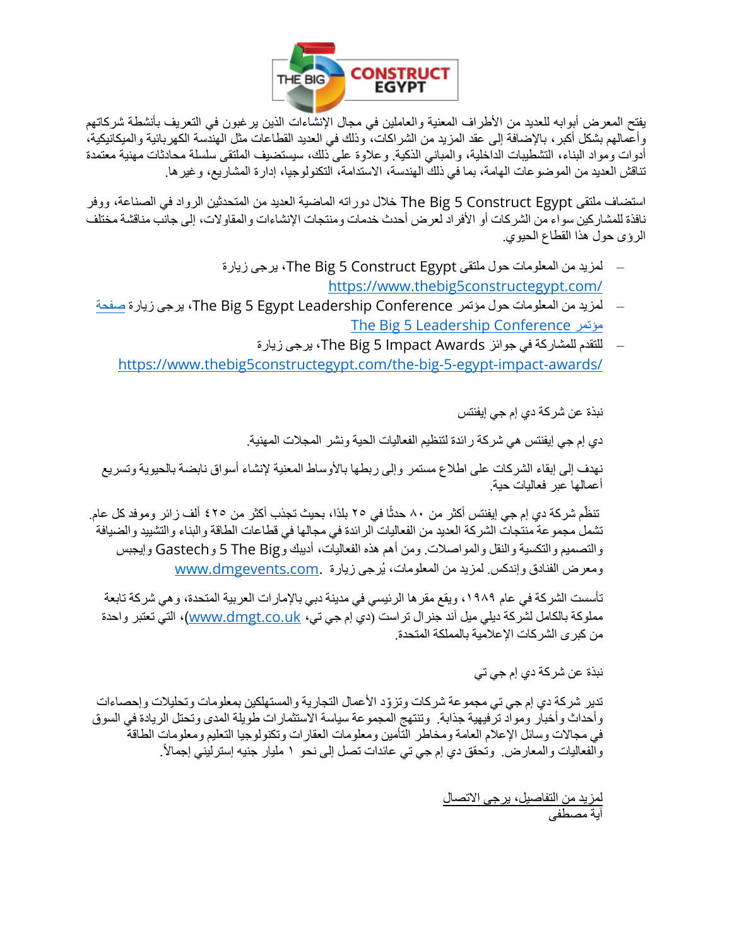

يفتح المعرض أبوابه للعديد من األطراف المعنية والعاملين في مجال اإلنشاءات الذين يرغبون في التعريف بأنشطة شركاتهم وأعمالهم بشكل أكبر، باإلضافة إلى عقد المزيد من الشراكات، وذلك في العديد القطاعات مثل الهندسة الكهربائية والميكانيكية، أدوات ومواد البناء، التشطيبات الداخلية، والمباني الذكية. وعالوة على ذلك، سيستضيف الملتقى سلسلة محادثات مهنية معتمدة تناقش العديد من الموضوعات الهامة، بما في ذلك الهندسة، االستدامة، التكنولوجيا، إدارة المشاريع، وغيرها.

استضاف ملتقى Egypt Construct 5 Big The خالل دوراته الماضية العديد من المتحدثين الرواد في الصناعة، ووفر نافذة للمشاركين سواء من الشركات أو الأفراد لعرض أحدث خدمات ومنتجات الإنشاءات والمقاولات، إلى جانب مناقشة مختلف الرؤى حول هذا القطاع الحيوي.

- لمزيد من المعلومات حول ملتقى Egypt Construct 5 Big The، يرجى زيارة <https://www.thebig5constructegypt.com/>
- لمزيد من المعلومات حول مؤتمر The Big 5 Egypt Leadership Conference ، يرجى زيارة [صفحة](https://www.thebig5constructegypt.com/the-big-5-egypt-leadership-conference/) [The](https://www.thebig5constructegypt.com/the-big-5-egypt-leadership-conference/) [Big](https://www.thebig5constructegypt.com/the-big-5-egypt-leadership-conference/) [5 Leadership](https://www.thebig5constructegypt.com/the-big-5-egypt-leadership-conference/) [Conference](https://www.thebig5constructegypt.com/the-big-5-egypt-leadership-conference/) [مؤتمر](https://www.thebig5constructegypt.com/the-big-5-egypt-leadership-conference/)
	- للتقدم للمشاركة في جوائز Awards Impact 5 Big The، يرجى زيارة <https://www.thebig5constructegypt.com/the-big-5-egypt-impact-awards/>

نبذة عن شركة دي إم جي إيفنتس

دي إم جي إيفنتس هي شركة رائدة لتنظيم الفعاليات الحية ونشر المجالت المهنية.

نهدف إلى إبقاء الشركات على اطلاع مستمر وإلى ربطها بالأوساط المعنية لإنشاء أسواق نابضة بالحيوية وتسريع أعمالها عبر فعاليات حية.

تنظّم شركة دي إم جي إيفنتس أكثر من ٨٠ حدثًا في ٢٥ بلدًا، بحيث تجذب أكثر من ٤٢٥ ألف ز ائر وموفد كل عام. تشمل مجموعة منتجات الشركة العديد من الفعاليات الرائدة في مجالها في قطاعات الطاقة والبناء والتشييد والضيافة والتصميم والتكسية والنقل والمواصالت. ومن أهم هذه الفعاليات، أديبك وBig The 5 وGastech وإيجبس ومعرض الفنادق وإندكس. لمزيد من المعلومات، يُرجى زيارة .www.dmgevents.com

تأسست الشركة في عام ١٩٨٩، ويقع مقر ها الرئيسي في مدينة دبي بالإمارات العربية المتحدة، و هي شركة تابعة مملوكة بالكامل لشركة ديلي ميل آند جنرال تراست (دي إم جي تي، <u>www.dmgt.co.uk)</u>، التي تعتبر واحدة من كبرى الشركات اإلعالمية بالمملكة المتحدة.

نبذة عن شركة دي إم جي تي

تدير شركة دي إم جي تي مجموعة شركات وتزوّد الأعمال التجارية والمستهلكين بمعلومات وتحليلات وإحصاءات وأحداث وأخبار ومواد ترفيهية جذابة. وتنتهج المجموعة سياسة االستثمارات طويلة المدى وتحتل الريادة في السوق في مجاالت وسائل اإلعالم العامة ومخاطر التأمين ومعلومات العقارات وتكنولوجيا التعليم ومعلومات الطاقة والفعاليات والمعارض. وتحقق دي إم جي تي عائدات تصل إلى نحو ١ مليار جنيه إسترليني إجمالاً.

> لمزيد من التفاصيل، يرجى االتصال آية مصطفى